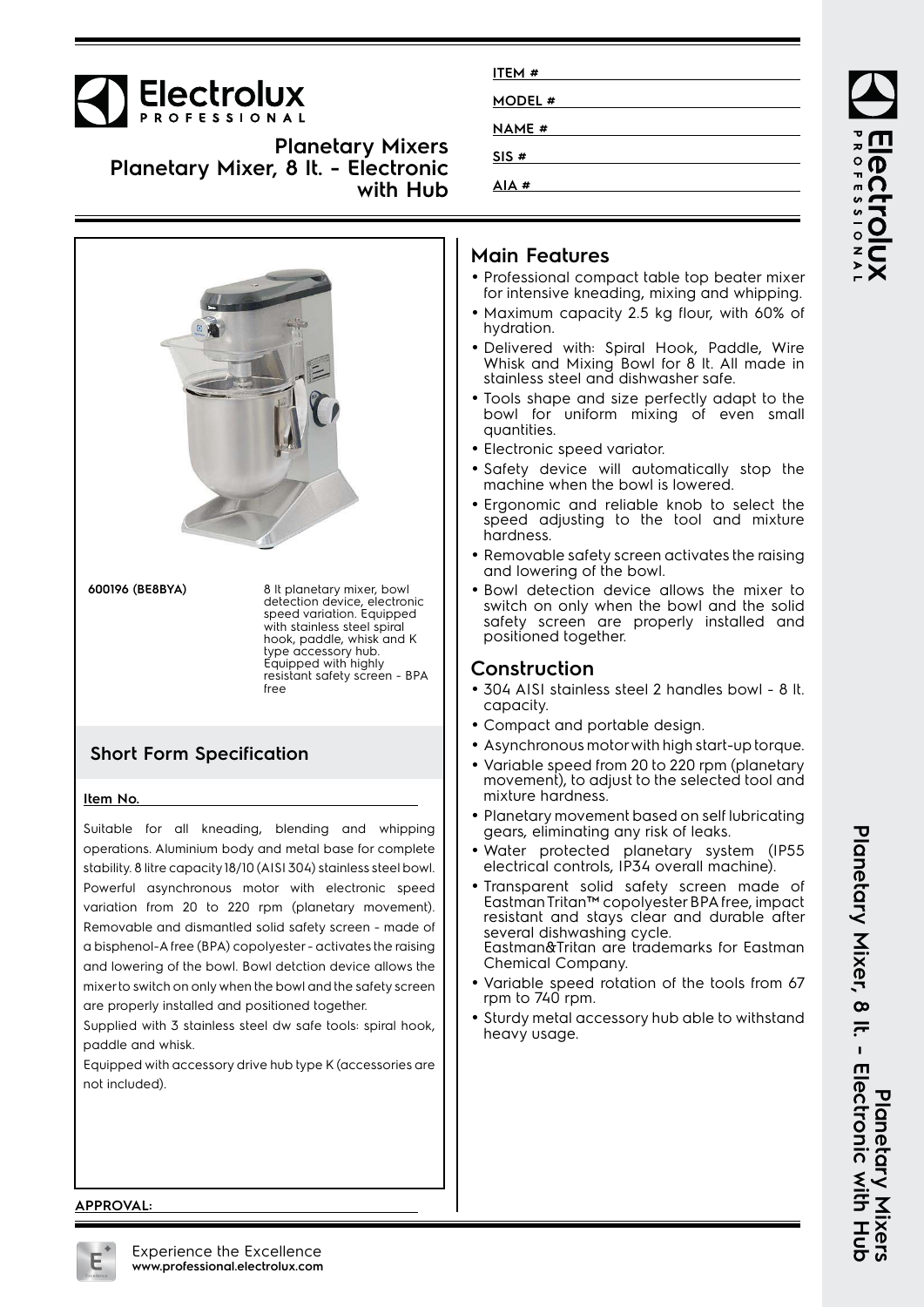

|                 | with Hub                                                                                                                                                                                                                                    |
|-----------------|---------------------------------------------------------------------------------------------------------------------------------------------------------------------------------------------------------------------------------------------|
|                 |                                                                                                                                                                                                                                             |
| 600196 (BE8BYA) | 8 It planetary mixer, bowl<br>detection device, electronic<br>speed variation. Equipped<br>with stainless steel spiral<br>hook, paddle, whisk and K<br>type accessory hub.<br>Equipped with highly<br>resistant safety screen - BPA<br>free |
|                 |                                                                                                                                                                                                                                             |

**Planetary Mixer, 8 lt. - Electronic**

**Planetary Mixers**

## **Short Form Specification**

## **Item No.**

Suitable for all kneading, blending and whipping operations. Aluminium body and metal base for complete stability. 8 litre capacity 18/10 (AISI 304) stainless steel bowl. Powerful asynchronous motor with electronic speed variation from 20 to 220 rpm (planetary movement). Removable and dismantled solid safety screen - made of a bisphenol-A free (BPA) copolyester - activates the raising and lowering of the bowl. Bowl detction device allows the mixer to switch on only when the bowl and the safety screen are properly installed and positioned together.

Supplied with 3 stainless steel dw safe tools: spiral hook, paddle and whisk.

Equipped with accessory drive hub type K (accessories are not included).

| ITEM#        |  |
|--------------|--|
| MODEL #      |  |
| <b>NAME#</b> |  |
| SIS#         |  |
| AIA#         |  |

## **Main Features**

- Professional compact table top beater mixer for intensive kneading, mixing and whipping.
- Maximum capacity 2.5 kg flour, with 60% of hydration.
- Delivered with: Spiral Hook, Paddle, Wire Whisk and Mixing Bowl for 8 lt. All made in stainless steel and dishwasher safe.
- Tools shape and size perfectly adapt to the bowl for uniform mixing of even small quantities.
- Electronic speed variator.
- Safety device will automatically stop the machine when the bowl is lowered.
- Ergonomic and reliable knob to select the speed adjusting to the tool and mixture hardness.
- Removable safety screen activates the raising and lowering of the bowl.
- Bowl detection device allows the mixer to switch on only when the bowl and the solid safety screen are properly installed and positioned together.

## **Construction**

- 304 AISI stainless steel 2 handles bowl 8 lt. capacity.
- Compact and portable design.
- Asynchronous motor with high start-up torque.
- • Variable speed from 20 to 220 rpm (planetary movement), to adjust to the selected tool and mixture hardness.
- Planetary movement based on self lubricating gears, eliminating any risk of leaks.
- Water protected planetary system (IP55 electrical controls, IP34 overall machine).
- • Transparent solid safety screen made of Eastman Tritan™ copolyester BPA free, impact resistant and stays clear and durable after several dishwashing cycle. Eastman&Tritan are trademarks for Eastman Chemical Company.
- • Variable speed rotation of the tools from 67 rpm to 740 rpm.
- • Sturdy metal accessory hub able to withstand heavy usage.

ROFESSIONA

# Planetary Mixer, 8 It. - Electronic with Hub<br>Planetary Mixer, 8 It. - Electronic with Hub **Planetary Mixer, 8 lt. - Electronic with Hub Planetary Mixers**

**APPROVAL:**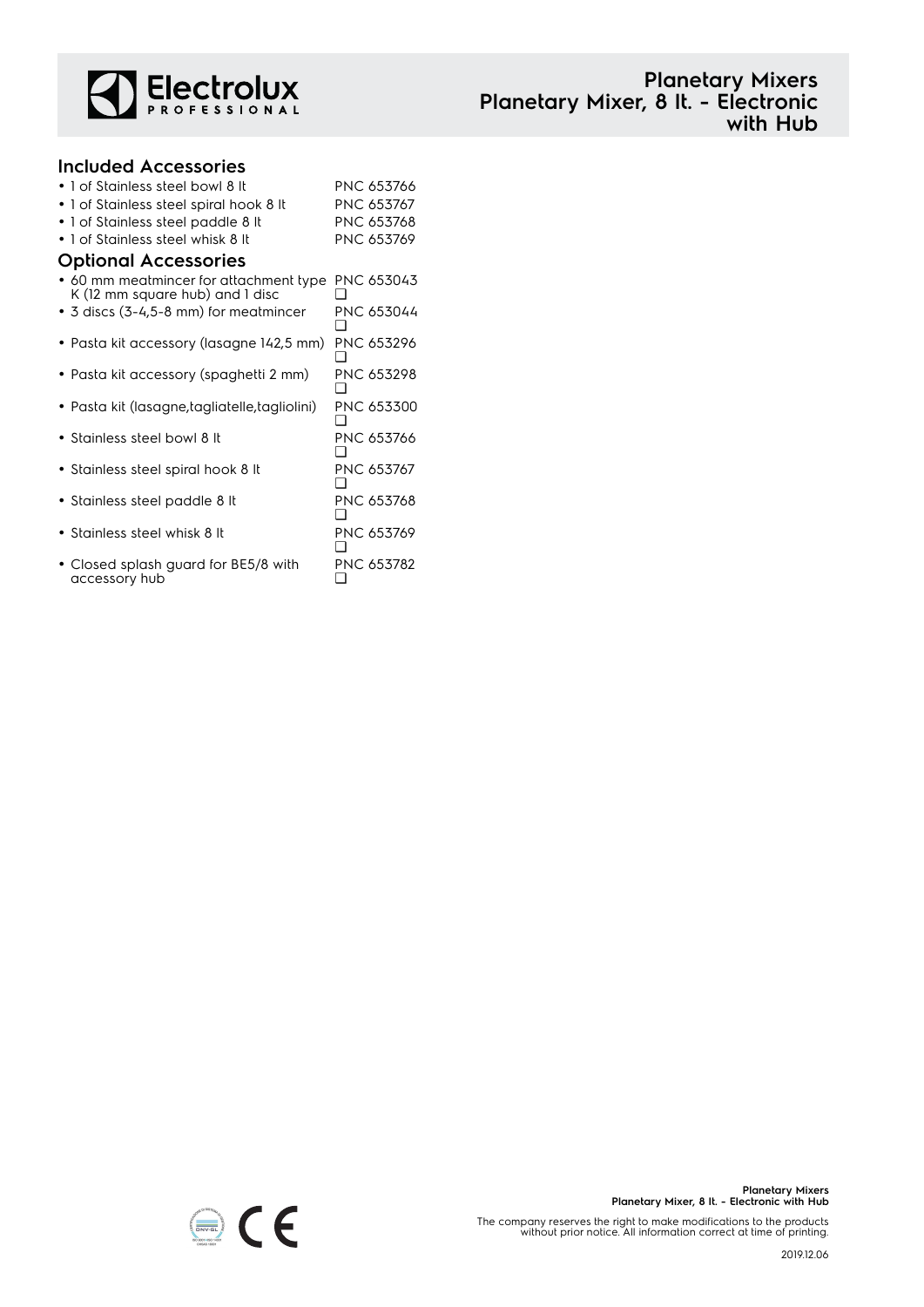

## **Planetary Mixers Planetary Mixer, 8 lt. - Electronic with Hub**

### **Included Accessories** • 1 of Stainless steel bowl 8 lt PNC 653766 • 1 of Stainless steel spiral hook 8 lt PNC 653767 • 1 of Stainless steel paddle 8 lt PNC 653768 • 1 of Stainless steel whisk 8 lt PNC 653769 **Optional Accessories** • 60 mm meatmincer for attachment type PNC 653043 K (12 mm square hub) and 1 disc  $\Box$ • 3 discs (3-4,5-8 mm) for meatmincer PNC 653044 ❑ • Pasta kit accessory (lasagne 142,5 mm) PNC 653296 ❑ • Pasta kit accessory (spaghetti 2 mm) PNC 653298 ❑ • Pasta kit (lasagne,tagliatelle,tagliolini) PNC 653300  $\Box$ • Stainless steel bowl 8 lt PNC 653766 ❑ • Stainless steel spiral hook 8 lt PNC 653767 ❑ • Stainless steel paddle 8 lt PNC 653768 ❑ • Stainless steel whisk 8 lt PNC 653769 ❑ • Closed splash guard for BE5/8 with accessory hub PNC 653782  $\Box$